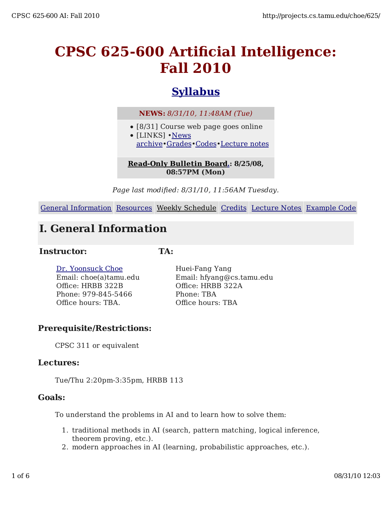# **CPSC 625-600 Artificial Intelligence: Fall 2010**

# **Syllabus**

**NEWS:** *8/31/10, 11:48AM (Tue)*

- [8/31] Course web page goes online
- [LINKS] •News archive•Grades•Codes•Lecture notes

#### **Read-Only Bulletin Board.: 8/25/08, 08:57PM (Mon)**

*Page last modified: 8/31/10, 11:56AM Tuesday.*

General Information Resources Weekly Schedule Credits Lecture Notes Example Code

## **I. General Information**

#### **Instructor:**

**TA:**

Dr. Yoonsuck Choe Email: choe(a)tamu.edu Office: HRBB 322B Phone: 979-845-5466 Office hours: TBA.

Huei-Fang Yang Email: hfyang@cs.tamu.edu Office: HRBB 322A Phone: TBA Office hours: TBA

#### **Prerequisite/Restrictions:**

CPSC 311 or equivalent

#### **Lectures:**

Tue/Thu 2:20pm-3:35pm, HRBB 113

#### **Goals:**

To understand the problems in AI and to learn how to solve them:

- 1. traditional methods in AI (search, pattern matching, logical inference, theorem proving, etc.).
- 2. modern approaches in AI (learning, probabilistic approaches, etc.).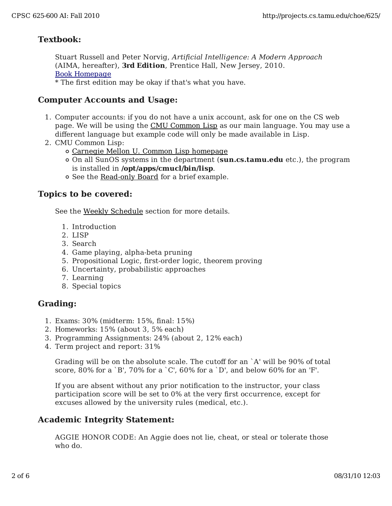#### **Textbook:**

Stuart Russell and Peter Norvig, *Artificial Intelligence: A Modern Approach* (AIMA, hereafter), **3rd Edition**, Prentice Hall, New Jersey, 2010. Book Homepage \* The first edition may be okay if that's what you have.

#### **Computer Accounts and Usage:**

- Computer accounts: if you do not have a unix account, ask for one on the CS web 1. page. We will be using the CMU Common Lisp as our main language. You may use a different language but example code will only be made available in Lisp.
- 2. CMU Common Lisp:
	- Carnegie Mellon U. Common Lisp homepage
	- On all SunOS systems in the department (**sun.cs.tamu.edu** etc.), the program is installed in **/opt/apps/cmucl/bin/lisp**.
	- See the Read-only Board for a brief example.

#### **Topics to be covered:**

See the Weekly Schedule section for more details.

- 1. Introduction
- 2. LISP
- 3. Search
- 4. Game playing, alpha-beta pruning
- 5. Propositional Logic, first-order logic, theorem proving
- 6. Uncertainty, probabilistic approaches
- 7. Learning
- 8. Special topics

#### **Grading:**

- 1. Exams: 30% (midterm: 15%, final: 15%)
- 2. Homeworks: 15% (about 3, 5% each)
- 3. Programming Assignments: 24% (about 2, 12% each)
- 4. Term project and report: 31%

Grading will be on the absolute scale. The cutoff for an `A' will be 90% of total score, 80% for a `B', 70% for a `C', 60% for a `D', and below 60% for an 'F'.

If you are absent without any prior notification to the instructor, your class participation score will be set to 0% at the very first occurrence, except for excuses allowed by the university rules (medical, etc.).

#### **Academic Integrity Statement:**

AGGIE HONOR CODE: An Aggie does not lie, cheat, or steal or tolerate those who do.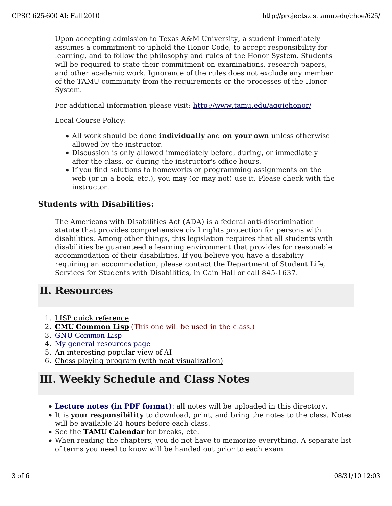Upon accepting admission to Texas A&M University, a student immediately assumes a commitment to uphold the Honor Code, to accept responsibility for learning, and to follow the philosophy and rules of the Honor System. Students will be required to state their commitment on examinations, research papers, and other academic work. Ignorance of the rules does not exclude any member of the TAMU community from the requirements or the processes of the Honor System.

For additional information please visit: http://www.tamu.edu/aggiehonor/

Local Course Policy:

- All work should be done **individually** and **on your own** unless otherwise allowed by the instructor.
- Discussion is only allowed immediately before, during, or immediately after the class, or during the instructor's office hours.
- If you find solutions to homeworks or programming assignments on the web (or in a book, etc.), you may (or may not) use it. Please check with the instructor.

#### **Students with Disabilities:**

The Americans with Disabilities Act (ADA) is a federal anti-discrimination statute that provides comprehensive civil rights protection for persons with disabilities. Among other things, this legislation requires that all students with disabilities be guaranteed a learning environment that provides for reasonable accommodation of their disabilities. If you believe you have a disability requiring an accommodation, please contact the Department of Student Life, Services for Students with Disabilities, in Cain Hall or call 845-1637.

### **II. Resources**

- 1. LISP quick reference
- 2. **CMU Common Lisp** (This one will be used in the class.)
- 3. GNU Common Lisp
- 4. My general resources page
- 5. An interesting popular view of AI
- 6. Chess playing program (with neat visualization)

### **III. Weekly Schedule and Class Notes**

- **Lecture notes (in PDF format)**: all notes will be uploaded in this directory.
- It is **your responsibility** to download, print, and bring the notes to the class. Notes will be available 24 hours before each class.
- See the **TAMU Calendar** for breaks, etc.
- When reading the chapters, you do not have to memorize everything. A separate list of terms you need to know will be handed out prior to each exam.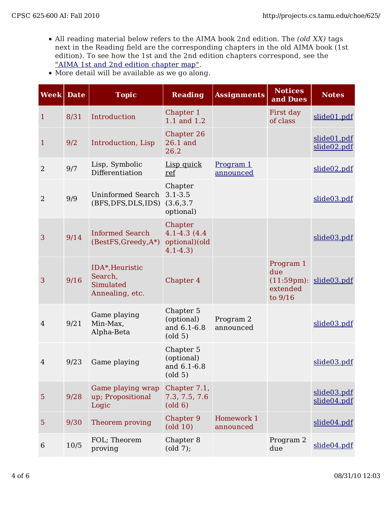- All reading material below refers to the AIMA book 2nd edition. The *(old XX)* tags next in the Reading field are the corresponding chapters in the old AIMA book (1st edition). To see how the 1st and the 2nd edition chapters correspond, see the "AIMA 1st and 2nd edition chapter map".
- More detail will be available as we go along.

| <b>Week</b> Date |      | <b>Topic</b>                                               | <b>Reading</b>                                                     | <b>Assignments</b>            | <b>Notices</b><br>and Dues              | <b>Notes</b>                                 |
|------------------|------|------------------------------------------------------------|--------------------------------------------------------------------|-------------------------------|-----------------------------------------|----------------------------------------------|
| $\mathbf{1}$     | 8/31 | Introduction                                               | Chapter 1<br>1.1 and 1.2                                           |                               | First day<br>of class                   | slide01.pdf                                  |
| $\mathbf{1}$     | 9/2  | Introduction, Lisp                                         | Chapter 26<br>26.1 and<br>26.2                                     |                               |                                         | slide01.pdf<br>slide02.pdf                   |
| $\overline{2}$   | 9/7  | Lisp, Symbolic<br>Differentiation                          | Lisp quick<br>ref                                                  | Program 1<br><u>announced</u> |                                         | slide02.pdf                                  |
| $\overline{2}$   | 9/9  | Uninformed Search<br>(BFS, DFS, DLS, IDS)                  | Chapter<br>$3.1 - 3.5$<br>(3.6, 3.7)<br>optional)                  |                               |                                         | slide03.pdf                                  |
| 3                | 9/14 | <b>Informed Search</b><br>(BestFS, Greedy, A*)             | Chapter<br>4.1-4.3 (4.4)<br>optional)(old<br>$4.1 - 4.3$           |                               |                                         | slide03.pdf                                  |
| 3                | 9/16 | IDA*, Heuristic<br>Search,<br>Simulated<br>Annealing, etc. | Chapter 4                                                          |                               | Program 1<br>due<br>extended<br>to 9/16 | $(11:59 \text{pm})$ : slide $03. \text{pdf}$ |
| $\overline{4}$   | 9/21 | Game playing<br>Min-Max,<br>Alpha-Beta                     | Chapter 5<br>(optional)<br>and 6.1-6.8<br>$\left($ old 5 $\right)$ | Program 2<br>announced        |                                         | slide03.pdf                                  |
| 4                | 9/23 | Game playing                                               | Chapter 5<br>(optional)<br>and 6.1-6.8<br>$\left($ old 5 $\right)$ |                               |                                         | slide03.pdf                                  |
| 5                | 9/28 | Game playing wrap<br>up; Propositional<br>Logic            | Chapter 7.1,<br>7.3, 7.5, 7.6<br>$\left($ old 6)                   |                               |                                         | slide03.pdf<br>slide04.pdf                   |
| 5                | 9/30 | Theorem proving                                            | Chapter 9<br>$\left($ old $10\right)$                              | Homework 1<br>announced       |                                         | slide04.pdf                                  |
| 6                | 10/5 | FOL; Theorem<br>proving                                    | Chapter 8<br>$\left($ old 7 $\right)$ ;                            |                               | Program 2<br>due                        | slide04.pdf                                  |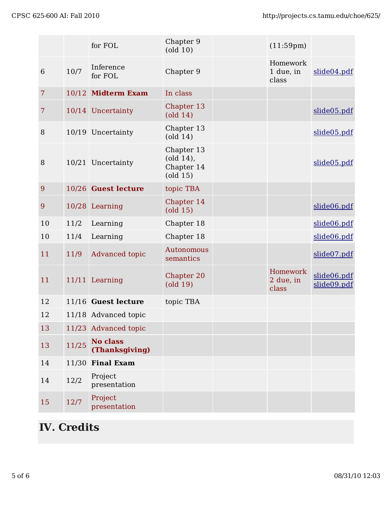|    |       | for FOL                           | Chapter 9<br>$\left($ old $10\right)$                                                | $(11:59 \text{pm})$            |                            |
|----|-------|-----------------------------------|--------------------------------------------------------------------------------------|--------------------------------|----------------------------|
| 6  | 10/7  | Inference<br>for FOL              | Chapter 9                                                                            | Homework<br>1 due, in<br>class | slide04.pdf                |
| 7  |       | 10/12 Midterm Exam                | In class                                                                             |                                |                            |
| 7  |       | 10/14 Uncertainty                 | Chapter 13<br>$\left($ old 14 $\right)$                                              |                                | slide05.pdf                |
| 8  |       | 10/19 Uncertainty                 | Chapter 13<br>$\left($ old 14 $\right)$                                              |                                | slide05.pdf                |
| 8  |       | 10/21 Uncertainty                 | Chapter 13<br>$\left($ old 14 $\right)$ ,<br>Chapter 14<br>$\left($ old 15 $\right)$ |                                | slide05.pdf                |
| 9  |       | 10/26 Guest lecture               | topic TBA                                                                            |                                |                            |
| 9  |       | 10/28 Learning                    | Chapter 14<br>$\left($ old 15 $\right)$                                              |                                | slide06.pdf                |
| 10 | 11/2  | Learning                          | Chapter 18                                                                           |                                | slide06.pdf                |
| 10 | 11/4  | Learning                          | Chapter 18                                                                           |                                | slide06.pdf                |
| 11 | 11/9  | Advanced topic                    | Autonomous<br>semantics                                                              |                                | slide07.pdf                |
| 11 |       | 11/11 Learning                    | Chapter 20<br>$\left($ old 19 $\right)$                                              | Homework<br>2 due, in<br>class | slide06.pdf<br>slide09.pdf |
| 12 |       | 11/16 Guest lecture               | topic TBA                                                                            |                                |                            |
| 12 |       | 11/18 Advanced topic              |                                                                                      |                                |                            |
| 13 |       | 11/23 Advanced topic              |                                                                                      |                                |                            |
| 13 | 11/25 | <b>No class</b><br>(Thanksgiving) |                                                                                      |                                |                            |
| 14 |       | 11/30 Final Exam                  |                                                                                      |                                |                            |
| 14 | 12/2  | Project<br>presentation           |                                                                                      |                                |                            |
| 15 | 12/7  | Project<br>presentation           |                                                                                      |                                |                            |

# **IV. Credits**